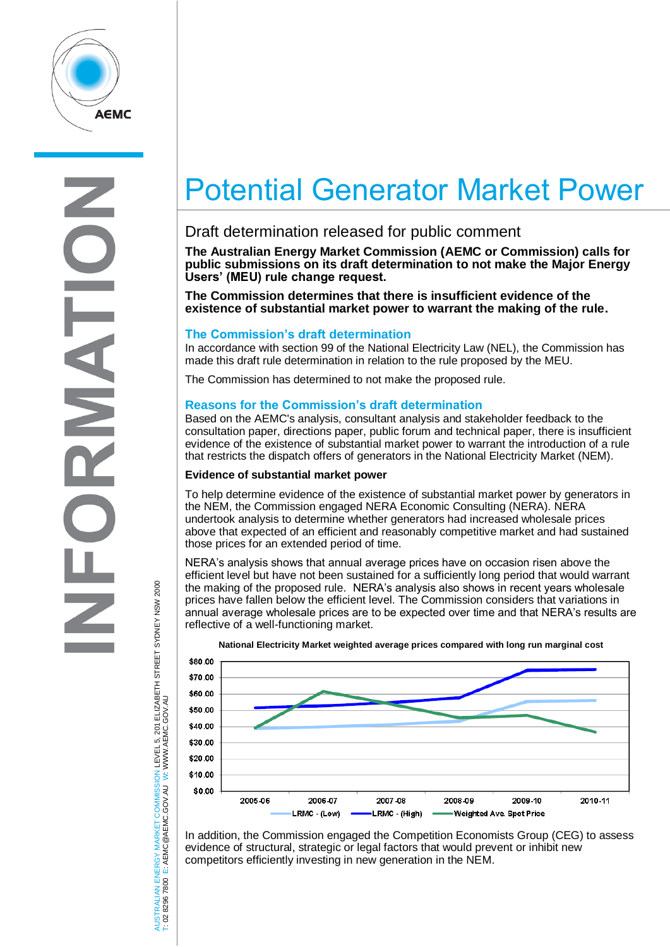

# Potential Generator Market Power

# Draft determination released for public comment

**The Australian Energy Market Commission (AEMC or Commission) calls for public submissions on its draft determination to not make the Major Energy Users' (MEU) rule change request.** 

**The Commission determines that there is insufficient evidence of the existence of substantial market power to warrant the making of the rule.**

## **The Commission's draft determination**

In accordance with section 99 of the National Electricity Law (NEL), the Commission has made this draft rule determination in relation to the rule proposed by the MEU.

The Commission has determined to not make the proposed rule.

# **Reasons for the Commission's draft determination**

Based on the AEMC's analysis, consultant analysis and stakeholder feedback to the consultation paper, directions paper, public forum and technical paper, there is insufficient evidence of the existence of substantial market power to warrant the introduction of a rule that restricts the dispatch offers of generators in the National Electricity Market (NEM).

### **Evidence of substantial market power**

To help determine evidence of the existence of substantial market power by generators in the NEM, the Commission engaged NERA Economic Consulting (NERA). NERA undertook analysis to determine whether generators had increased wholesale prices above that expected of an efficient and reasonably competitive market and had sustained those prices for an extended period of time.

NERA's analysis shows that annual average prices have on occasion risen above the efficient level but have not been sustained for a sufficiently long period that would warrant the making of the proposed rule. NERA's analysis also shows in recent years wholesale prices have fallen below the efficient level. The Commission considers that variations in annual average wholesale prices are to be expected over time and that NERA's results are reflective of a well-functioning market.



**National Electricity Market weighted average prices compared with long run marginal cost**

In addition, the Commission engaged the Competition Economists Group (CEG) to assess evidence of structural, strategic or legal factors that would prevent or inhibit new competitors efficiently investing in new generation in the NEM.

JSTRALIAN ENERGY MARKET COMMISSION LEVEL 5, 201 ELIZABETH STREET SYDNEY NSW 2000<br>02 8296 7800 E: AEMC@AEMC.GOV.AU W: WWW.AEMC.GOV.AU AUSTRALIAN ENERGY MARKET COMMISSION LEVEL 5, 201 ELIZABETH STREET SYDNEY NSW 2000 W: WWW.AEMC.GOV.AU T: 02 8296 7800 E: AEMC@AEMC.GOV.AU UST